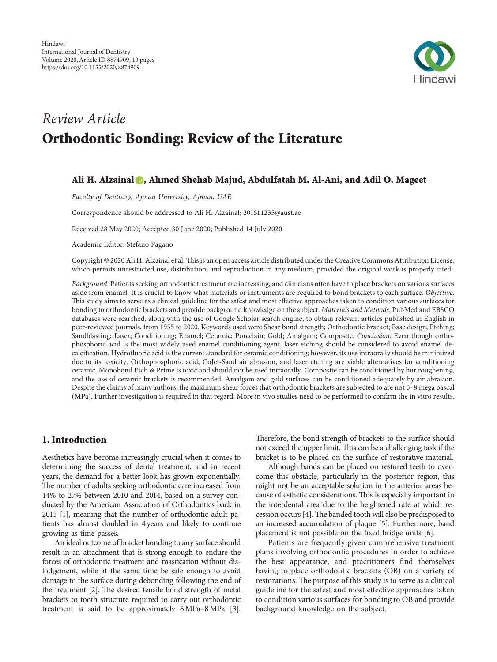

# Review Article Orthodontic Bonding: Review of the Literature

# Ali H. Alzainal **D**[,](https://orcid.org/0000-0002-3003-4063) Ahmed Shehab Majud, Abdulfatah M. Al-Ani, and Adil O. Mageet

Faculty of Dentistry, Ajman University, Ajman, UAE

Correspondence should be addressed to Ali H. Alzainal; [201511235@aust.ae](mailto:201511235@aust.ae)

Received 28 May 2020; Accepted 30 June 2020; Published 14 July 2020

Academic Editor: Stefano Pagano

Copyright © 2020 Ali H. Alzainal et al. This is an open access article distributed under the [Creative Commons Attribution License](https://creativecommons.org/licenses/by/4.0/), which permits unrestricted use, distribution, and reproduction in any medium, provided the original work is properly cited.

Background. Patients seeking orthodontic treatment are increasing, and clinicians often have to place brackets on various surfaces aside from enamel. It is crucial to know what materials or instruments are required to bond brackets to each surface. Objective. This study aims to serve as a clinical guideline for the safest and most effective approaches taken to condition various surfaces for bonding to orthodontic brackets and provide background knowledge on the subject. Materials and Methods. PubMed and EBSCO databases were searched, along with the use of Google Scholar search engine, to obtain relevant articles published in English in peer-reviewed journals, from 1955 to 2020. Keywords used were Shear bond strength; Orthodontic bracket; Base design; Etching; Sandblasting; Laser; Conditioning; Enamel; Ceramic; Porcelain; Gold; Amalgam; Composite. Conclusion. Even though orthophosphoric acid is the most widely used enamel conditioning agent, laser etching should be considered to avoid enamel decalcification. Hydrofluoric acid is the current standard for ceramic conditioning; however, its use intraorally should be minimized due to its toxicity. Orthophosphoric acid, CoJet-Sand air abrasion, and laser etching are viable alternatives for conditioning ceramic. Monobond Etch & Prime is toxic and should not be used intraorally. Composite can be conditioned by bur roughening, and the use of ceramic brackets is recommended. Amalgam and gold surfaces can be conditioned adequately by air abrasion. Despite the claims of many authors, the maximum shear forces that orthodontic brackets are subjected to are not 6–8 mega pascal (MPa). Further investigation is required in that regard. More in vivo studies need to be performed to confirm the in vitro results.

### 1. Introduction

Aesthetics have become increasingly crucial when it comes to determining the success of dental treatment, and in recent years, the demand for a better look has grown exponentially. The number of adults seeking orthodontic care increased from 14% to 27% between 2010 and 2014, based on a survey conducted by the American Association of Orthodontics back in 2015[[1\]](#page-5-0), meaning that the number of orthodontic adult patients has almost doubled in 4 years and likely to continue growing as time passes.

An ideal outcome of bracket bonding to any surface should result in an attachment that is strong enough to endure the forces of orthodontic treatment and mastication without dislodgement, while at the same time be safe enough to avoid damage to the surface during debonding following the end of the treatment [\[2\]](#page-5-0). The desired tensile bond strength of metal brackets to tooth structure required to carry out orthodontic treatment is said to be approximately 6MPa–8 MPa [\[3\]](#page-5-0).

Therefore, the bond strength of brackets to the surface should not exceed the upper limit. This can be a challenging task if the bracket is to be placed on the surface of restorative material.

Although bands can be placed on restored teeth to overcome this obstacle, particularly in the posterior region, this might not be an acceptable solution in the anterior areas because of esthetic considerations. This is especially important in the interdental area due to the heightened rate at which re-cessionoccurs [[4](#page-5-0)]. The banded tooth will also be predisposed to an increased accumulation of plaque [\[5\]](#page-5-0). Furthermore, band placement is not possible on the fixed bridge units[[6](#page-5-0)].

Patients are frequently given comprehensive treatment plans involving orthodontic procedures in order to achieve the best appearance, and practitioners find themselves having to place orthodontic brackets (OB) on a variety of restorations. The purpose of this study is to serve as a clinical guideline for the safest and most effective approaches taken to condition various surfaces for bonding to OB and provide background knowledge on the subject.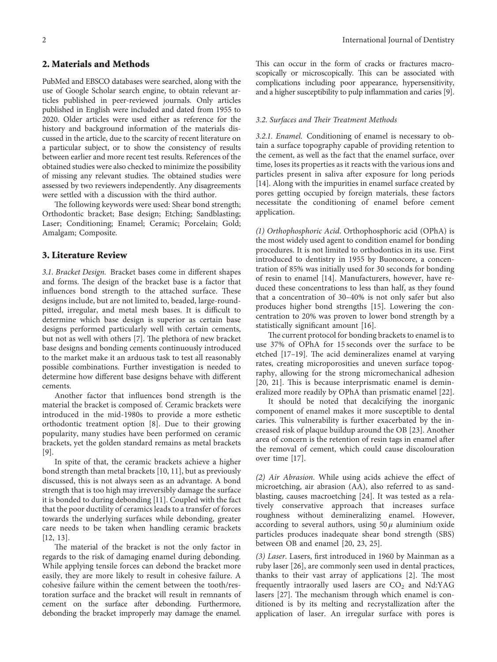## 2. Materials and Methods

PubMed and EBSCO databases were searched, along with the use of Google Scholar search engine, to obtain relevant articles published in peer-reviewed journals. Only articles published in English were included and dated from 1955 to 2020. Older articles were used either as reference for the history and background information of the materials discussed in the article, due to the scarcity of recent literature on a particular subject, or to show the consistency of results between earlier and more recent test results. References of the obtained studies were also checked to minimize the possibility of missing any relevant studies. The obtained studies were assessed by two reviewers independently. Any disagreements were settled with a discussion with the third author.

The following keywords were used: Shear bond strength; Orthodontic bracket; Base design; Etching; Sandblasting; Laser; Conditioning; Enamel; Ceramic; Porcelain; Gold; Amalgam; Composite.

#### 3. Literature Review

3.1. Bracket Design. Bracket bases come in different shapes and forms. The design of the bracket base is a factor that influences bond strength to the attached surface. These designs include, but are not limited to, beaded, large-roundpitted, irregular, and metal mesh bases. It is difficult to determine which base design is superior as certain base designs performed particularly well with certain cements, butnot as well with others [[7](#page-5-0)]. The plethora of new bracket base designs and bonding cements continuously introduced to the market make it an arduous task to test all reasonably possible combinations. Further investigation is needed to determine how different base designs behave with different cements.

Another factor that influences bond strength is the material the bracket is composed of. Ceramic brackets were introduced in the mid-1980s to provide a more esthetic orthodontic treatment option [\[8](#page-5-0)]. Due to their growing popularity, many studies have been performed on ceramic brackets, yet the golden standard remains as metal brackets [\[9](#page-5-0)].

In spite of that, the ceramic brackets achieve a higher bond strength than metal brackets[[10, 11\]](#page-5-0), but as previously discussed, this is not always seen as an advantage. A bond strength that is too high may irreversibly damage the surface it is bonded to during debonding [\[11](#page-5-0)]. Coupled with the fact that the poor ductility of ceramics leads to a transfer of forces towards the underlying surfaces while debonding, greater care needs to be taken when handling ceramic brackets [\[12](#page-5-0), [13\]](#page-5-0).

The material of the bracket is not the only factor in regards to the risk of damaging enamel during debonding. While applying tensile forces can debond the bracket more easily, they are more likely to result in cohesive failure. A cohesive failure within the cement between the tooth/restoration surface and the bracket will result in remnants of cement on the surface after debonding. Furthermore, debonding the bracket improperly may damage the enamel.

This can occur in the form of cracks or fractures macroscopically or microscopically. This can be associated with complications including poor appearance, hypersensitivity, and a higher susceptibility to pulp inflammation and caries [\[9\]](#page-5-0).

#### 3.2. Surfaces and Their Treatment Methods

3.2.1. Enamel. Conditioning of enamel is necessary to obtain a surface topography capable of providing retention to the cement, as well as the fact that the enamel surface, over time, loses its properties as it reacts with the various ions and particles present in saliva after exposure for long periods [\[14](#page-5-0)]. Along with the impurities in enamel surface created by pores getting occupied by foreign materials, these factors necessitate the conditioning of enamel before cement application.

(1) Orthophosphoric Acid. Orthophosphoric acid (OPhA) is the most widely used agent to condition enamel for bonding procedures. It is not limited to orthodontics in its use. First introduced to dentistry in 1955 by Buonocore, a concentration of 85% was initially used for 30 seconds for bonding of resin to enamel[[14\]](#page-5-0). Manufacturers, however, have reduced these concentrations to less than half, as they found that a concentration of 30–40% is not only safer but also produces higher bond strengths [\[15](#page-5-0)]. Lowering the concentration to 20% was proven to lower bond strength by a statistically significant amount[[16\]](#page-6-0).

The current protocol for bonding brackets to enamel is to use 37% of OPhA for 15 seconds over the surface to be etched[17-19]. The acid demineralizes enamel at varying rates, creating microporosities and uneven surface topography, allowing for the strong micromechanical adhesion [\[20, 21\]](#page-6-0). This is because interprismatic enamel is demineralized more readily by OPhA than prismatic enamel[[22](#page-6-0)].

It should be noted that decalcifying the inorganic component of enamel makes it more susceptible to dental caries. This vulnerability is further exacerbated by the increased risk of plaque buildup around the OB[[23](#page-6-0)]. Another area of concern is the retention of resin tags in enamel after the removal of cement, which could cause discolouration over time[[17\]](#page-6-0).

(2) Air Abrasion. While using acids achieve the effect of microetching, air abrasion (AA), also referred to as sandblasting, causes macroetching [\[24\]](#page-6-0). It was tested as a relatively conservative approach that increases surface roughness without demineralizing enamel. However, according to several authors, using  $50 \mu$  aluminium oxide particles produces inadequate shear bond strength (SBS) between OB and enamel [\[20, 23, 25](#page-6-0)].

(3) Laser. Lasers, first introduced in 1960 by Mainman as a ruby laser [\[26\]](#page-6-0), are commonly seen used in dental practices, thanksto their vast array of applications  $[2]$  $[2]$ . The most frequently intraorally used lasers are  $CO<sub>2</sub>$  and Nd:YAG lasers  $[27]$ . The mechanism through which enamel is conditioned is by its melting and recrystallization after the application of laser. An irregular surface with pores is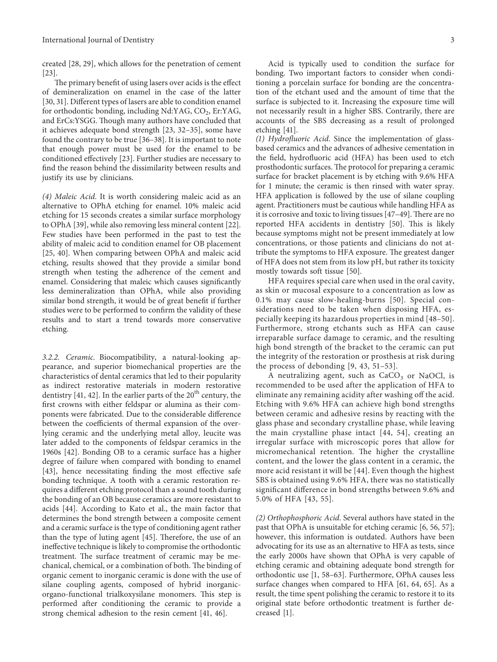created[[28, 29\]](#page-6-0), which allows for the penetration of cement [\[23\]](#page-6-0).

The primary benefit of using lasers over acids is the effect of demineralization on enamel in the case of the latter [\[30, 31](#page-6-0)]. Different types of lasers are able to condition enamel for orthodontic bonding, including  $Nd:YAG$ ,  $CO<sub>2</sub>$ , Er: $YAG$ , and ErCs:YSGG. Though many authors have concluded that it achieves adequate bond strength[[23](#page-6-0), [32](#page-6-0)–[35](#page-6-0)], some have found the contrary to be true [\[36–38\]](#page-6-0). It is important to note that enough power must be used for the enamel to be conditioned effectively [\[23\]](#page-6-0). Further studies are necessary to find the reason behind the dissimilarity between results and justify its use by clinicians.

(4) Maleic Acid. It is worth considering maleic acid as an alternative to OPhA etching for enamel. 10% maleic acid etching for 15 seconds creates a similar surface morphology to OPhA[[39](#page-6-0)], while also removing less mineral content[[22](#page-6-0)]. Few studies have been performed in the past to test the ability of maleic acid to condition enamel for OB placement [\[25, 40\]](#page-6-0). When comparing between OPhA and maleic acid etching, results showed that they provide a similar bond strength when testing the adherence of the cement and enamel. Considering that maleic which causes significantly less demineralization than OPhA, while also providing similar bond strength, it would be of great benefit if further studies were to be performed to confirm the validity of these results and to start a trend towards more conservative etching.

3.2.2. Ceramic. Biocompatibility, a natural-looking appearance, and superior biomechanical properties are the characteristics of dental ceramics that led to their popularity as indirect restorative materials in modern restorative dentistry [\[41](#page-6-0), [42\]](#page-6-0). In the earlier parts of the  $20<sup>th</sup>$  century, the first crowns with either feldspar or alumina as their components were fabricated. Due to the considerable difference between the coefficients of thermal expansion of the overlying ceramic and the underlying metal alloy, leucite was later added to the components of feldspar ceramics in the 1960s[[42](#page-6-0)]. Bonding OB to a ceramic surface has a higher degree of failure when compared with bonding to enamel [\[43\]](#page-6-0), hence necessitating finding the most effective safe bonding technique. A tooth with a ceramic restoration requires a different etching protocol than a sound tooth during the bonding of an OB because ceramics are more resistant to acids[[44](#page-6-0)]. According to Kato et al., the main factor that determines the bond strength between a composite cement and a ceramic surface is the type of conditioning agent rather thanthe type of luting agent [[45\]](#page-6-0). Therefore, the use of an ineffective technique is likely to compromise the orthodontic treatment. The surface treatment of ceramic may be mechanical, chemical, or a combination of both. The binding of organic cement to inorganic ceramic is done with the use of silane coupling agents, composed of hybrid inorganicorgano-functional trialkoxysilane monomers. This step is performed after conditioning the ceramic to provide a strong chemical adhesion to the resin cement[[41, 46\]](#page-6-0).

Acid is typically used to condition the surface for bonding. Two important factors to consider when conditioning a porcelain surface for bonding are the concentration of the etchant used and the amount of time that the surface is subjected to it. Increasing the exposure time will not necessarily result in a higher SBS. Contrarily, there are accounts of the SBS decreasing as a result of prolonged etching [\[41](#page-6-0)].

(1) Hydrofluoric Acid. Since the implementation of glassbased ceramics and the advances of adhesive cementation in the field, hydrofluoric acid (HFA) has been used to etch prosthodontic surfaces. The protocol for preparing a ceramic surface for bracket placement is by etching with 9.6% HFA for 1 minute; the ceramic is then rinsed with water spray. HFA application is followed by the use of silane coupling agent. Practitioners must be cautious while handling HFA as itis corrosive and toxic to living tissues [[47](#page-7-0)-[49](#page-7-0)]. There are no reported HFA accidents in dentistry [\[50](#page-7-0)]. This is likely because symptoms might not be present immediately at low concentrations, or those patients and clinicians do not attribute the symptoms to HFA exposure. The greatest danger of HFA does not stem from its low pH, but rather its toxicity mostly towards soft tissue[[50](#page-7-0)].

HFA requires special care when used in the oral cavity, as skin or mucosal exposure to a concentration as low as 0.1% may cause slow-healing-burns [\[50](#page-7-0)]. Special considerations need to be taken when disposing HFA, especially keeping its hazardous properties in mind[[48–50](#page-7-0)]. Furthermore, strong etchants such as HFA can cause irreparable surface damage to ceramic, and the resulting high bond strength of the bracket to the ceramic can put the integrity of the restoration or prosthesis at risk during the process of debonding[[9,](#page-5-0) [43](#page-6-0), [51–53\]](#page-7-0).

A neutralizing agent, such as  $CaCO<sub>3</sub>$  or NaOCl, is recommended to be used after the application of HFA to eliminate any remaining acidity after washing off the acid. Etching with 9.6% HFA can achieve high bond strengths between ceramic and adhesive resins by reacting with the glass phase and secondary crystalline phase, while leaving the main crystalline phase intact [\[44](#page-6-0), [54](#page-7-0)], creating an irregular surface with microscopic pores that allow for micromechanical retention. The higher the crystalline content, and the lower the glass content in a ceramic, the more acid resistant it will be[[44\]](#page-6-0). Even though the highest SBS is obtained using 9.6% HFA, there was no statistically significant difference in bond strengths between 9.6% and 5.0% of HFA[[43,](#page-6-0) [55](#page-7-0)].

(2) Orthophosphoric Acid. Several authors have stated in the past that OPhA is unsuitable for etching ceramic [\[6,](#page-5-0) [56](#page-7-0), [57](#page-7-0)]; however, this information is outdated. Authors have been advocating for its use as an alternative to HFA as tests, since the early 2000s have shown that OPhA is very capable of etching ceramic and obtaining adequate bond strength for orthodontic use [\[1,](#page-5-0) [58–63](#page-7-0)]. Furthermore, OPhA causes less surface changes when compared to HFA[[61, 64, 65\]](#page-7-0). As a result, the time spent polishing the ceramic to restore it to its original state before orthodontic treatment is further decreased [\[1\]](#page-5-0).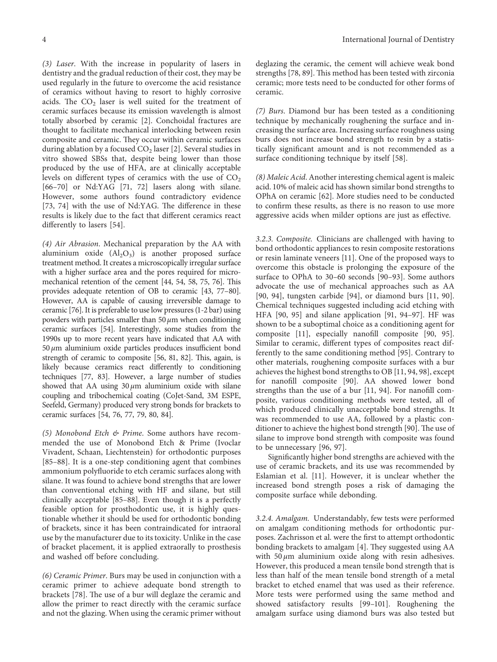(3) Laser. With the increase in popularity of lasers in dentistry and the gradual reduction of their cost, they may be used regularly in the future to overcome the acid resistance of ceramics without having to resort to highly corrosive acids. The  $CO<sub>2</sub>$  laser is well suited for the treatment of ceramic surfaces because its emission wavelength is almost totally absorbed by ceramic[[2\]](#page-5-0). Conchoidal fractures are thought to facilitate mechanical interlocking between resin composite and ceramic. They occur within ceramic surfaces duringablation by a focused  $CO_2$  laser [[2\]](#page-5-0). Several studies in vitro showed SBSs that, despite being lower than those produced by the use of HFA, are at clinically acceptable levels on different types of ceramics with the use of  $CO<sub>2</sub>$ [\[66–70\]](#page-7-0) or Nd:YAG [\[71](#page-7-0), [72](#page-7-0)] lasers along with silane. However, some authors found contradictory evidence [\[73, 74\]](#page-7-0) with the use of Nd:YAG. The difference in these results is likely due to the fact that different ceramics react differently to lasers[[54](#page-7-0)].

(4) Air Abrasion. Mechanical preparation by the AA with aluminium oxide  $(Al_2O_3)$  is another proposed surface treatment method. It creates a microscopically irregular surface with a higher surface area and the pores required for micro-mechanical retention of the cement [\[44](#page-6-0), [54, 58](#page-7-0), [75](#page-7-0), [76\]](#page-7-0). This provides adequate retention of OB to ceramic [\[43](#page-6-0), [77](#page-7-0)[–80\]](#page-8-0). However, AA is capable of causing irreversible damage to ceramic [\[76](#page-7-0)]. It is preferable to use low pressures (1-2 bar) using powders with particles smaller than 50  $\mu$ m when conditioning ceramic surfaces [\[54\]](#page-7-0). Interestingly, some studies from the 1990s up to more recent years have indicated that AA with  $50 \mu$ m aluminium oxide particles produces insufficient bond strength of ceramic to composite [\[56](#page-7-0), [81, 82\]](#page-8-0). This, again, is likely because ceramics react differently to conditioning techniques [\[77](#page-7-0), [83](#page-8-0)]. However, a large number of studies showed that AA using  $30 \mu m$  aluminium oxide with silane coupling and tribochemical coating (CoJet-Sand, 3M ESPE, Seefeld, Germany) produced very strong bonds for brackets to ceramic surfaces[[54, 76](#page-7-0), [77,](#page-7-0) [79, 80](#page-8-0), [84\]](#page-8-0).

(5) Monobond Etch & Prime. Some authors have recommended the use of Monobond Etch & Prime (Ivoclar Vivadent, Schaan, Liechtenstein) for orthodontic purposes [\[85–88\]](#page-8-0). It is a one-step conditioning agent that combines ammonium polyfluoride to etch ceramic surfaces along with silane. It was found to achieve bond strengths that are lower than conventional etching with HF and silane, but still clinically acceptable [\[85–88](#page-8-0)]. Even though it is a perfectly feasible option for prosthodontic use, it is highly questionable whether it should be used for orthodontic bonding of brackets, since it has been contraindicated for intraoral use by the manufacturer due to its toxicity. Unlike in the case of bracket placement, it is applied extraorally to prosthesis and washed off before concluding.

(6) Ceramic Primer. Burs may be used in conjunction with a ceramic primer to achieve adequate bond strength to brackets [\[78\]](#page-8-0). The use of a bur will deglaze the ceramic and allow the primer to react directly with the ceramic surface and not the glazing. When using the ceramic primer without

deglazing the ceramic, the cement will achieve weak bond strengths [\[78, 89\]](#page-8-0). This method has been tested with zirconia ceramic; more tests need to be conducted for other forms of ceramic.

(7) Burs. Diamond bur has been tested as a conditioning technique by mechanically roughening the surface and increasing the surface area. Increasing surface roughness using burs does not increase bond strength to resin by a statistically significant amount and is not recommended as a surface conditioning technique by itself [\[58\]](#page-7-0).

(8) Maleic Acid. Another interesting chemical agent is maleic acid. 10% of maleic acid has shown similar bond strengths to OPhA on ceramic [\[62\]](#page-7-0). More studies need to be conducted to confirm these results, as there is no reason to use more aggressive acids when milder options are just as effective.

3.2.3. Composite. Clinicians are challenged with having to bond orthodontic appliances to resin composite restorations or resin laminate veneers [\[11](#page-5-0)]. One of the proposed ways to overcome this obstacle is prolonging the exposure of the surface to OPhA to 30–60 seconds [\[90–93\]](#page-8-0). Some authors advocate the use of mechanical approaches such as AA [\[90, 94\]](#page-8-0), tungsten carbide [\[94\]](#page-8-0), or diamond burs[[11,](#page-5-0) [90](#page-8-0)]. Chemical techniques suggested including acid etching with HFA [\[90, 95\]](#page-8-0) and silane application[[91, 94–97](#page-8-0)]. HF was shown to be a suboptimal choice as a conditioning agent for composite [\[11](#page-5-0)], especially nanofill composite [\[90, 95](#page-8-0)]. Similar to ceramic, different types of composites react differently to the same conditioning method[[95](#page-8-0)]. Contrary to other materials, roughening composite surfaces with a bur achieves the highest bond strengths to OB [\[11](#page-5-0), [94](#page-8-0), [98\]](#page-8-0), except for nanofill composite[[90](#page-8-0)]. AA showed lower bond strengths than the use of a bur [\[11](#page-5-0), [94](#page-8-0)]. For nanofill composite, various conditioning methods were tested, all of which produced clinically unacceptable bond strengths. It was recommended to use AA, followed by a plastic con-ditionerto achieve the highest bond strength [[90](#page-8-0)]. The use of silane to improve bond strength with composite was found to be unnecessary[[96](#page-8-0), [97](#page-8-0)].

Significantly higher bond strengths are achieved with the use of ceramic brackets, and its use was recommended by Eslamian et al. [\[11](#page-5-0)]. However, it is unclear whether the increased bond strength poses a risk of damaging the composite surface while debonding.

3.2.4. Amalgam. Understandably, few tests were performed on amalgam conditioning methods for orthodontic purposes. Zachrisson et al. were the first to attempt orthodontic bonding brackets to amalgam [\[4](#page-5-0)]. They suggested using AA with  $50 \mu m$  aluminium oxide along with resin adhesives. However, this produced a mean tensile bond strength that is less than half of the mean tensile bond strength of a metal bracket to etched enamel that was used as their reference. More tests were performed using the same method and showed satisfactory results[[99](#page-8-0)–[101\]](#page-8-0). Roughening the amalgam surface using diamond burs was also tested but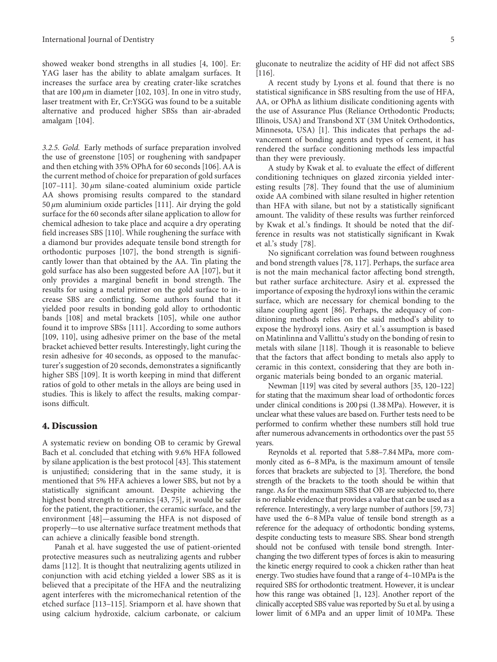showed weaker bond strengths in all studies [\[4](#page-5-0), [100\]](#page-8-0). Er: YAG laser has the ability to ablate amalgam surfaces. It increases the surface area by creating crater-like scratches thatare 100  $\mu$ m in diameter [[102](#page-8-0), [103](#page-8-0)]. In one in vitro study, laser treatment with Er, Cr:YSGG was found to be a suitable alternative and produced higher SBSs than air-abraded amalgam [\[104](#page-8-0)].

3.2.5. Gold. Early methods of surface preparation involved the use of greenstone[[105](#page-8-0)] or roughening with sandpaper and then etching with 35% OPhA for 60 seconds[[106](#page-8-0)]. AA is the current method of choice for preparation of gold surfaces [ $107-111$ ]. 30  $\mu$ m silane-coated aluminium oxide particle AA shows promising results compared to the standard 50  $μ$ m aluminium oxide particles [\[111](#page-9-0)]. Air drying the gold surface for the 60 seconds after silane application to allow for chemical adhesion to take place and acquire a dry operating field increases SBS [\[110](#page-9-0)]. While roughening the surface with a diamond bur provides adequate tensile bond strength for orthodontic purposes[[107](#page-8-0)], the bond strength is significantly lower than that obtained by the AA. Tin plating the gold surface has also been suggested before AA [\[107\]](#page-8-0), but it only provides a marginal benefit in bond strength. The results for using a metal primer on the gold surface to increase SBS are conflicting. Some authors found that it yielded poor results in bonding gold alloy to orthodontic bands [\[108\]](#page-9-0) and metal brackets[[105\]](#page-8-0), while one author found it to improve SBSs[[111\]](#page-9-0). According to some authors [\[109](#page-9-0), [110](#page-9-0)], using adhesive primer on the base of the metal bracket achieved better results. Interestingly, light curing the resin adhesive for 40 seconds, as opposed to the manufacturer's suggestion of 20 seconds, demonstrates a significantly higher SBS [\[109](#page-9-0)]. It is worth keeping in mind that different ratios of gold to other metals in the alloys are being used in studies. This is likely to affect the results, making comparisons difficult.

#### 4. Discussion

A systematic review on bonding OB to ceramic by Grewal Bach et al. concluded that etching with 9.6% HFA followed by silane application is the best protocol [\[43\]](#page-6-0). This statement is unjustified; considering that in the same study, it is mentioned that 5% HFA achieves a lower SBS, but not by a statistically significant amount. Despite achieving the highest bond strength to ceramics[[43](#page-6-0), [75\]](#page-7-0), it would be safer for the patient, the practitioner, the ceramic surface, and the environment[[48](#page-7-0)]—assuming the HFA is not disposed of properly—to use alternative surface treatment methods that can achieve a clinically feasible bond strength.

Panah et al. have suggested the use of patient-oriented protective measures such as neutralizing agents and rubber dams [\[112](#page-9-0)]. It is thought that neutralizing agents utilized in conjunction with acid etching yielded a lower SBS as it is believed that a precipitate of the HFA and the neutralizing agent interferes with the micromechanical retention of the etched surface[[113–115\]](#page-9-0). Sriamporn et al. have shown that using calcium hydroxide, calcium carbonate, or calcium

gluconate to neutralize the acidity of HF did not affect SBS [\[116](#page-9-0)].

A recent study by Lyons et al. found that there is no statistical significance in SBS resulting from the use of HFA, AA, or OPhA as lithium disilicate conditioning agents with the use of Assurance Plus (Reliance Orthodontic Products; Illinois, USA) and Transbond XT (3M Unitek Orthodontics, Minnesota, USA) [\[1\]](#page-5-0). This indicates that perhaps the advancement of bonding agents and types of cement, it has rendered the surface conditioning methods less impactful than they were previously.

A study by Kwak et al. to evaluate the effect of different conditioning techniques on glazed zirconia yielded interestingresults  $[78]$  $[78]$  $[78]$ . They found that the use of aluminium oxide AA combined with silane resulted in higher retention than HFA with silane, but not by a statistically significant amount. The validity of these results was further reinforced by Kwak et al.'s findings. It should be noted that the difference in results was not statistically significant in Kwak et al.'s study[[78](#page-8-0)].

No significant correlation was found between roughness and bond strength values[[78](#page-8-0), [117\]](#page-9-0). Perhaps, the surface area is not the main mechanical factor affecting bond strength, but rather surface architecture. Asiry et al. expressed the importance of exposing the hydroxyl ions within the ceramic surface, which are necessary for chemical bonding to the silane coupling agent[[86](#page-8-0)]. Perhaps, the adequacy of conditioning methods relies on the said method's ability to expose the hydroxyl ions. Asiry et al.'s assumption is based on Matinlinna and Vallittu's study on the bonding of resin to metalswith silane [[118\]](#page-9-0). Though it is reasonable to believe that the factors that affect bonding to metals also apply to ceramic in this context, considering that they are both inorganic materials being bonded to an organic material.

Newman [\[119\]](#page-9-0) was cited by several authors [\[35,](#page-6-0) [120–122\]](#page-9-0) for stating that the maximum shear load of orthodontic forces under clinical conditions is 200 psi (1.38MPa). However, it is unclear what these values are based on. Further tests need to be performed to confirm whether these numbers still hold true after numerous advancements in orthodontics over the past 55 years.

Reynolds et al. reported that 5.88–7.84MPa, more commonly cited as 6–8MPa, is the maximum amount of tensile forces that brackets are subjected to [\[3\]](#page-5-0). Therefore, the bond strength of the brackets to the tooth should be within that range. As for the maximum SBS that OB are subjected to, there is no reliable evidence that provides a value that can be used as a reference. Interestingly, a very large number of authors [\[59](#page-7-0), [73\]](#page-7-0) have used the 6–8MPa value of tensile bond strength as a reference for the adequacy of orthodontic bonding systems, despite conducting tests to measure SBS. Shear bond strength should not be confused with tensile bond strength. Interchanging the two different types of forces is akin to measuring the kinetic energy required to cook a chicken rather than heat energy. Two studies have found that a range of 4–10MPa is the required SBS for orthodontic treatment. However, it is unclear how this range was obtained [\[1](#page-5-0), [123](#page-9-0)]. Another report of the clinically accepted SBS value was reported by Su et al. by using a lower limit of  $6 MPa$  and an upper limit of  $10 MPa$ . These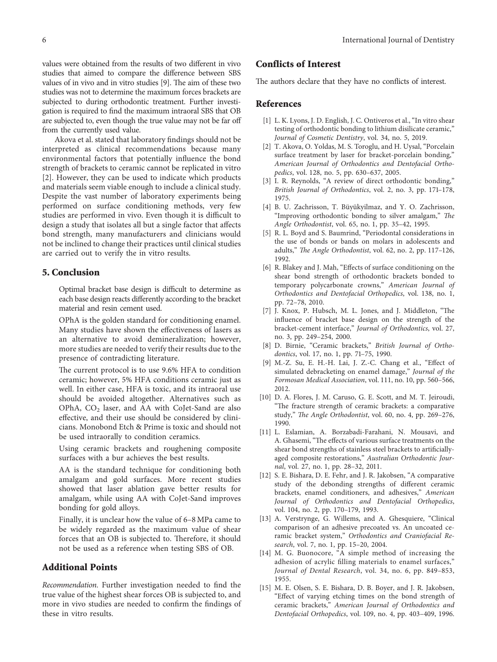<span id="page-5-0"></span>values were obtained from the results of two different in vivo studies that aimed to compare the difference between SBS values of in vivo and in vitro studies [9]. The aim of these two studies was not to determine the maximum forces brackets are subjected to during orthodontic treatment. Further investigation is required to find the maximum intraoral SBS that OB are subjected to, even though the true value may not be far off from the currently used value.

Akova et al. stated that laboratory findings should not be interpreted as clinical recommendations because many environmental factors that potentially influence the bond strength of brackets to ceramic cannot be replicated in vitro [2]. However, they can be used to indicate which products and materials seem viable enough to include a clinical study. Despite the vast number of laboratory experiments being performed on surface conditioning methods, very few studies are performed in vivo. Even though it is difficult to design a study that isolates all but a single factor that affects bond strength, many manufacturers and clinicians would not be inclined to change their practices until clinical studies are carried out to verify the in vitro results.

#### 5. Conclusion

Optimal bracket base design is difficult to determine as each base design reacts differently according to the bracket material and resin cement used.

OPhA is the golden standard for conditioning enamel. Many studies have shown the effectiveness of lasers as an alternative to avoid demineralization; however, more studies are needed to verify their results due to the presence of contradicting literature.

The current protocol is to use 9.6% HFA to condition ceramic; however, 5% HFA conditions ceramic just as well. In either case, HFA is toxic, and its intraoral use should be avoided altogether. Alternatives such as OPhA,  $CO<sub>2</sub>$  laser, and AA with CoJet-Sand are also effective, and their use should be considered by clinicians. Monobond Etch & Prime is toxic and should not be used intraorally to condition ceramics.

Using ceramic brackets and roughening composite surfaces with a bur achieves the best results.

AA is the standard technique for conditioning both amalgam and gold surfaces. More recent studies showed that laser ablation gave better results for amalgam, while using AA with CoJet-Sand improves bonding for gold alloys.

Finally, it is unclear how the value of 6–8 MPa came to be widely regarded as the maximum value of shear forces that an OB is subjected to. Therefore, it should not be used as a reference when testing SBS of OB.

#### Additional Points

Recommendation. Further investigation needed to find the true value of the highest shear forces OB is subjected to, and more in vivo studies are needed to confirm the findings of these in vitro results.

# Conflicts of Interest

The authors declare that they have no conflicts of interest.

#### References

- [1] L. K. Lyons, J. D. English, J. C. Ontiveros et al., "In vitro shear testing of orthodontic bonding to lithium disilicate ceramic," Journal of Cosmetic Dentistry, vol. 34, no. 5, 2019.
- [2] T. Akova, O. Yoldas, M. S. Toroglu, and H. Uysal, "Porcelain surface treatment by laser for bracket-porcelain bonding," American Journal of Orthodontics and Dentofacial Orthopedics, vol. 128, no. 5, pp. 630–637, 2005.
- [3] I. R. Reynolds, "A review of direct orthodontic bonding," British Journal of Orthodontics, vol. 2, no. 3, pp. 171–178, 1975.
- [4] B. U. Zachrisson, T. Büyükyilmaz, and Y. O. Zachrisson, "Improving orthodontic bonding to silver amalgam," The Angle Orthodontist, vol. 65, no. 1, pp. 35–42, 1995.
- [5] R. L. Boyd and S. Baumrind, "Periodontal considerations in the use of bonds or bands on molars in adolescents and adults," The Angle Orthodontist, vol. 62, no. 2, pp. 117-126, 1992.
- [6] R. Blakey and J. Mah, "Effects of surface conditioning on the shear bond strength of orthodontic brackets bonded to temporary polycarbonate crowns," American Journal of Orthodontics and Dentofacial Orthopedics, vol. 138, no. 1, pp. 72–78, 2010.
- [7] J. Knox, P. Hubsch, M. L. Jones, and J. Middleton, "The influence of bracket base design on the strength of the bracket-cement interface," Journal of Orthodontics, vol. 27, no. 3, pp. 249–254, 2000.
- [8] D. Birnie, "Ceramic brackets," British Journal of Orthodontics, vol. 17, no. 1, pp. 71–75, 1990.
- [9] M.-Z. Su, E. H.-H. Lai, J. Z.-C. Chang et al., "Effect of simulated debracketing on enamel damage," Journal of the Formosan Medical Association, vol. 111, no. 10, pp. 560–566, 2012.
- [10] D. A. Flores, J. M. Caruso, G. E. Scott, and M. T. Jeiroudi, "The fracture strength of ceramic brackets: a comparative study," The Angle Orthodontist, vol. 60, no. 4, pp. 269–276, 1990.
- [11] L. Eslamian, A. Borzabadi-Farahani, N. Mousavi, and A. Ghasemi, "The effects of various surface treatments on the shear bond strengths of stainless steel brackets to artificiallyaged composite restorations," Australian Orthodontic Journal, vol. 27, no. 1, pp. 28–32, 2011.
- [12] S. E. Bishara, D. E. Fehr, and J. R. Jakobsen, "A comparative study of the debonding strengths of different ceramic brackets, enamel conditioners, and adhesives," American Journal of Orthodontics and Dentofacial Orthopedics, vol. 104, no. 2, pp. 170–179, 1993.
- [13] A. Verstrynge, G. Willems, and A. Ghesquiere, "Clinical comparison of an adhesive precoated vs. An uncoated ceramic bracket system," Orthodontics and Craniofacial Research, vol. 7, no. 1, pp. 15–20, 2004.
- [14] M. G. Buonocore, "A simple method of increasing the adhesion of acrylic filling materials to enamel surfaces," Journal of Dental Research, vol. 34, no. 6, pp. 849–853, 1955.
- [15] M. E. Olsen, S. E. Bishara, D. B. Boyer, and J. R. Jakobsen, "Effect of varying etching times on the bond strength of ceramic brackets," American Journal of Orthodontics and Dentofacial Orthopedics, vol. 109, no. 4, pp. 403–409, 1996.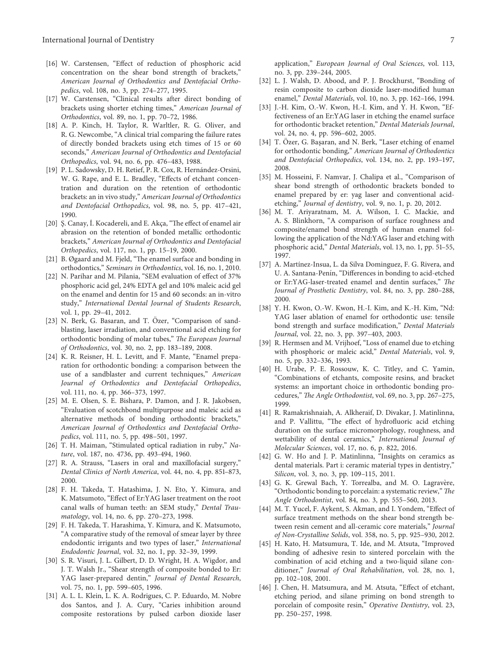- <span id="page-6-0"></span>[16] W. Carstensen, "Effect of reduction of phosphoric acid concentration on the shear bond strength of brackets," American Journal of Orthodontics and Dentofacial Orthopedics, vol. 108, no. 3, pp. 274–277, 1995.
- [17] W. Carstensen, "Clinical results after direct bonding of brackets using shorter etching times," American Journal of Orthodontics, vol. 89, no. 1, pp. 70–72, 1986.
- [18] A. P. Kinch, H. Taylor, R. Warltler, R. G. Oliver, and R. G. Newcombe, "A clinical trial comparing the failure rates of directly bonded brackets using etch times of 15 or 60 seconds," American Journal of Orthodontics and Dentofacial Orthopedics, vol. 94, no. 6, pp. 476–483, 1988.
- [19] P. L. Sadowsky, D. H. Retief, P. R. Cox, R. Hernández-Orsini, W. G. Rape, and E. L. Bradley, "Effects of etchant concentration and duration on the retention of orthodontic brackets: an in vivo study," American Journal of Orthodontics and Dentofacial Orthopedics, vol. 98, no. 5, pp. 417–421, 1990.
- [20] Ş. Canay, İ. Kocadereli, and E. Akça, "The effect of enamel air abrasion on the retention of bonded metallic orthodontic brackets," American Journal of Orthodontics and Dentofacial Orthopedics, vol. 117, no. 1, pp. 15–19, 2000.
- [21] B. Øgaard and M. Fjeld, "The enamel surface and bonding in orthodontics," Seminars in Orthodontics, vol. 16, no. 1, 2010.
- [22] N. Parihar and M. Pilania, "SEM evaluation of effect of 37% phosphoric acid gel, 24% EDTA gel and 10% maleic acid gel on the enamel and dentin for 15 and 60 seconds: an in-vitro study," International Dental Journal of Students Research, vol. 1, pp. 29–41, 2012.
- [23] N. Berk, G. Basaran, and T. Özer, "Comparison of sandblasting, laser irradiation, and conventional acid etching for orthodontic bonding of molar tubes," The European Journal of Orthodontics, vol. 30, no. 2, pp. 183–189, 2008.
- [24] K. R. Reisner, H. L. Levitt, and F. Mante, "Enamel preparation for orthodontic bonding: a comparison between the use of a sandblaster and current techniques," American Journal of Orthodontics and Dentofacial Orthopedics, vol. 111, no. 4, pp. 366–373, 1997.
- [25] M. E. Olsen, S. E. Bishara, P. Damon, and J. R. Jakobsen, "Evaluation of scotchbond multipurpose and maleic acid as alternative methods of bonding orthodontic brackets," American Journal of Orthodontics and Dentofacial Orthopedics, vol. 111, no. 5, pp. 498–501, 1997.
- [26] T. H. Maiman, "Stimulated optical radiation in ruby," Nature, vol. 187, no. 4736, pp. 493-494, 1960.
- [27] R. A. Strauss, "Lasers in oral and maxillofacial surgery," Dental Clinics of North America, vol. 44, no. 4, pp. 851–873, 2000.
- [28] F. H. Takeda, T. Hatashima, J. N. Eto, Y. Kimura, and K. Matsumoto, "Effect of Er:YAG laser treatment on the root canal walls of human teeth: an SEM study," Dental Traumatology, vol. 14, no. 6, pp. 270–273, 1998.
- [29] F. H. Takeda, T. Harashima, Y. Kimura, and K. Matsumoto, "A comparative study of the removal of smear layer by three endodontic irrigants and two types of laser," International Endodontic Journal, vol. 32, no. 1, pp. 32–39, 1999.
- [30] S. R. Visuri, J. L. Gilbert, D. D. Wright, H. A. Wigdor, and J. T. Walsh Jr., "Shear strength of composite bonded to Er: YAG laser-prepared dentin," Journal of Dental Research, vol. 75, no. 1, pp. 599–605, 1996.
- [31] A. L. L. Klein, L. K. A. Rodrigues, C. P. Eduardo, M. Nobre dos Santos, and J. A. Cury, "Caries inhibition around composite restorations by pulsed carbon dioxide laser
- [32] L. J. Walsh, D. Abood, and P. J. Brockhurst, "Bonding of resin composite to carbon dioxide laser-modified human enamel," Dental Materials, vol. 10, no. 3, pp. 162–166, 1994.
- [33] J.-H. Kim, O.-W. Kwon, H.-I. Kim, and Y. H. Kwon, "Effectiveness of an Er:YAG laser in etching the enamel surface for orthodontic bracket retention," Dental Materials Journal, vol. 24, no. 4, pp. 596–602, 2005.
- [34] T. Özer, G. Başaran, and N. Berk, "Laser etching of enamel for orthodontic bonding," American Journal of Orthodontics and Dentofacial Orthopedics, vol. 134, no. 2, pp. 193–197, 2008.
- [35] M. Hosseini, F. Namvar, J. Chalipa et al., "Comparison of shear bond strength of orthodontic brackets bonded to enamel prepared by er: yag laser and conventional acidetching," Journal of dentistry, vol. 9, no. 1, p. 20, 2012.
- [36] M. T. Ariyaratnam, M. A. Wilson, I. C. Mackie, and A. S. Blinkhorn, "A comparison of surface roughness and composite/enamel bond strength of human enamel following the application of the Nd:YAG laser and etching with phosphoric acid," Dental Materials, vol. 13, no. 1, pp. 51–55, 1997.
- [37] A. Martínez-Insua, L. da Silva Dominguez, F. G. Rivera, and U. A. Santana-Penín, "Differences in bonding to acid-etched or Er:YAG-laser-treated enamel and dentin surfaces," The Journal of Prosthetic Dentistry, vol. 84, no. 3, pp. 280–288, 2000.
- [38] Y. H. Kwon, O.-W. Kwon, H.-I. Kim, and K.-H. Kim, "Nd: YAG laser ablation of enamel for orthodontic use: tensile bond strength and surface modification," Dental Materials Journal, vol. 22, no. 3, pp. 397–403, 2003.
- [39] R. Hermsen and M. Vrijhoef, "Loss of enamel due to etching with phosphoric or maleic acid," Dental Materials, vol. 9, no. 5, pp. 332–336, 1993.
- [40] H. Urabe, P. E. Rossouw, K. C. Titley, and C. Yamin, "Combinations of etchants, composite resins, and bracket systems: an important choice in orthodontic bonding procedures," The Angle Orthodontist, vol. 69, no. 3, pp. 267-275, 1999.
- [41] R. Ramakrishnaiah, A. Alkheraif, D. Divakar, J. Matinlinna, and P. Vallittu, "The effect of hydrofluoric acid etching duration on the surface micromorphology, roughness, and wettability of dental ceramics," International Journal of Molecular Sciences, vol. 17, no. 6, p. 822, 2016.
- [42] G. W. Ho and J. P. Matinlinna, "Insights on ceramics as dental materials. Part i: ceramic material types in dentistry," Silicon, vol. 3, no. 3, pp. 109–115, 2011.
- [43] G. K. Grewal Bach, Y. Torrealba, and M. O. Lagravère, "Orthodontic bonding to porcelain: a systematic review," The Angle Orthodontist, vol. 84, no. 3, pp. 555–560, 2013.
- [44] M. T. Yucel, F. Aykent, S. Akman, and I. Yondem, "Effect of surface treatment methods on the shear bond strength between resin cement and all-ceramic core materials," Journal of Non-Crystalline Solids, vol. 358, no. 5, pp. 925–930, 2012.
- [45] H. Kato, H. Matsumura, T. Ide, and M. Atsuta, "Improved bonding of adhesive resin to sintered porcelain with the combination of acid etching and a two-liquid silane conditioner," Journal of Oral Rehabilitation, vol. 28, no. 1, pp. 102–108, 2001.
- [46] J. Chen, H. Matsumura, and M. Atsuta, "Effect of etchant, etching period, and silane priming on bond strength to porcelain of composite resin," Operative Dentistry, vol. 23, pp. 250–257, 1998.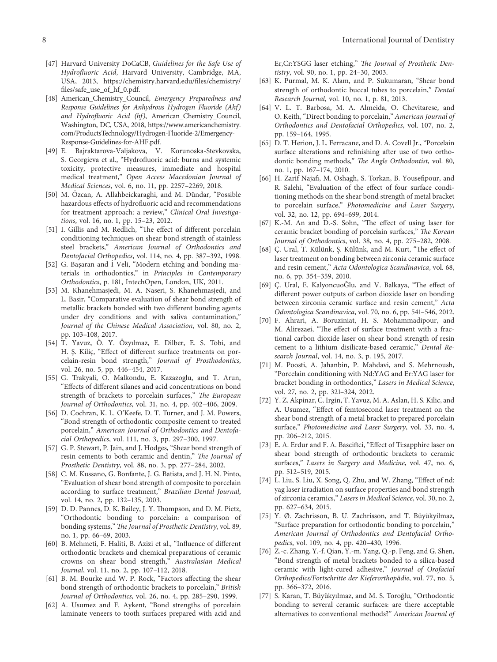- <span id="page-7-0"></span>[47] Harvard University DoCaCB, Guidelines for the Safe Use of Hydrofluoric Acid, Harvard University, Cambridge, MA, USA, 2013, [https://chemistry.harvard.edu/files/chemistry/](https://chemistry.harvard.edu/files/chemistry/files/safe_use_of_hf_0.pdf) [files/safe\\_use\\_of\\_hf\\_0.pdf](https://chemistry.harvard.edu/files/chemistry/files/safe_use_of_hf_0.pdf).
- [48] American\_Chemistry\_Council, Emergency Preparedness and Response Guidelines for Anhydrous Hydrogen Fluoride (Ahf) and Hydrofluoric Acid (hf), American\_Chemistry\_Council, Washington, DC, USA, 2018, [https://www.americanchemistry.](https://www.americanchemistry.com/ProductsTechnology/Hydrogen-Fluoride-2/Emergency-Response-Guidelines-for-AHF.pdf) [com/ProductsTechnology/Hydrogen-Fluoride-2/Emergency-](https://www.americanchemistry.com/ProductsTechnology/Hydrogen-Fluoride-2/Emergency-Response-Guidelines-for-AHF.pdf)[Response-Guidelines-for-AHF.pdf.](https://www.americanchemistry.com/ProductsTechnology/Hydrogen-Fluoride-2/Emergency-Response-Guidelines-for-AHF.pdf)
- [49] E. Bajraktarova-Valjakova, V. Korunoska-Stevkovska, S. Georgieva et al., "Hydrofluoric acid: burns and systemic toxicity, protective measures, immediate and hospital medical treatment," Open Access Macedonian Journal of Medical Sciences, vol. 6, no. 11, pp. 2257–2269, 2018.
- [50] M. Özcan, A. Allahbeickaraghi, and M. Dündar, "Possible hazardous effects of hydrofluoric acid and recommendations for treatment approach: a review," Clinical Oral Investigations, vol. 16, no. 1, pp. 15–23, 2012.
- [51] I. Gillis and M. Redlich, "The effect of different porcelain conditioning techniques on shear bond strength of stainless steel brackets," American Journal of Orthodontics and Dentofacial Orthopedics, vol. 114, no. 4, pp. 387–392, 1998.
- [52] G. Başaran and İ Veli, "Modern etching and bonding materials in orthodontics," in Principles in Contemporary Orthodontics, p. 181, IntechOpen, London, UK, 2011.
- [53] M. Khanehmasjedi, M. A. Naseri, S. Khanehmasjedi, and L. Basir, "Comparative evaluation of shear bond strength of metallic brackets bonded with two different bonding agents under dry conditions and with saliva contamination," Journal of the Chinese Medical Association, vol. 80, no. 2, pp. 103–108, 2017.
- [54] T. Yavuz, Ö. Y. Özyılmaz, E. Dilber, E. S. Tobi, and H. Ş. Kiliç, "Effect of different surface treatments on porcelain-resin bond strength," Journal of Prosthodontics, vol. 26, no. 5, pp. 446–454, 2017.
- [55] G. Trakyali, O. Malkondu, E. Kazazoglu, and T. Arun, "Effects of different silanes and acid concentrations on bond strength of brackets to porcelain surfaces," The European Journal of Orthodontics, vol. 31, no. 4, pp. 402–406, 2009.
- [56] D. Cochran, K. L. O'Keefe, D. T. Turner, and J. M. Powers, "Bond strength of orthodontic composite cement to treated porcelain," American Journal of Orthodontics and Dentofacial Orthopedics, vol. 111, no. 3, pp. 297–300, 1997.
- [57] G. P. Stewart, P. Jain, and J. Hodges, "Shear bond strength of resin cements to both ceramic and dentin," The Journal of Prosthetic Dentistry, vol. 88, no. 3, pp. 277–284, 2002.
- [58] C. M. Kussano, G. Bonfante, J. G. Batista, and J. H. N. Pinto, "Evaluation of shear bond strength of composite to porcelain according to surface treatment," Brazilian Dental Journal, vol. 14, no. 2, pp. 132–135, 2003.
- [59] D. D. Pannes, D. K. Bailey, J. Y. Thompson, and D. M. Pietz, "Orthodontic bonding to porcelain: a comparison of bonding systems," The Journal of Prosthetic Dentistry, vol. 89, no. 1, pp. 66–69, 2003.
- [60] B. Mehmeti, F. Haliti, B. Azizi et al., "Influence of different orthodontic brackets and chemical preparations of ceramic crowns on shear bond strength," Australasian Medical Journal, vol. 11, no. 2, pp. 107–112, 2018.
- [61] B. M. Bourke and W. P. Rock, "Factors affecting the shear bond strength of orthodontic brackets to porcelain," British Journal of Orthodontics, vol. 26, no. 4, pp. 285–290, 1999.
- [62] A. Usumez and F. Aykent, "Bond strengths of porcelain laminate veneers to tooth surfaces prepared with acid and

Er,Cr:YSGG laser etching," The Journal of Prosthetic Dentistry, vol. 90, no. 1, pp. 24–30, 2003.

- [63] K. Purmal, M. K. Alam, and P. Sukumaran, "Shear bond strength of orthodontic buccal tubes to porcelain," Dental Research Journal, vol. 10, no. 1, p. 81, 2013.
- [64] V. L. T. Barbosa, M. A. Almeida, O. Chevitarese, and O. Keith, "Direct bonding to porcelain," American Journal of Orthodontics and Dentofacial Orthopedics, vol. 107, no. 2, pp. 159–164, 1995.
- [65] D. T. Herion, J. L. Ferracane, and D. A. Covell Jr., "Porcelain surface alterations and refinishing after use of two orthodontic bonding methods," The Angle Orthodontist, vol. 80, no. 1, pp. 167–174, 2010.
- [66] H. Zarif Najafi, M. Oshagh, S. Torkan, B. Yousefipour, and R. Salehi, "Evaluation of the effect of four surface conditioning methods on the shear bond strength of metal bracket to porcelain surface," Photomedicine and Laser Surgery, vol. 32, no. 12, pp. 694–699, 2014.
- [67] K.-M. An and D.-S. Sohn, "The effect of using laser for ceramic bracket bonding of porcelain surfaces," The Korean Journal of Orthodontics, vol. 38, no. 4, pp. 275–282, 2008.
- [68] C. Ural, T. Külünk, Ş. Külünk, and M. Kurt, "The effect of laser treatment on bonding between zirconia ceramic surface and resin cement," Acta Odontologica Scandinavica, vol. 68, no. 6, pp. 354–359, 2010.
- [69] C. Ural, E. KalyoncuoGlu, and V. Balkaya, "The effect of different power outputs of carbon dioxide laser on bonding between zirconia ceramic surface and resin cement," Acta Odontologica Scandinavica, vol. 70, no. 6, pp. 541–546, 2012.
- [70] F. Ahrari, A. Boruziniat, H. S. Mohammadipour, and M. Alirezaei, "The effect of surface treatment with a fractional carbon dioxide laser on shear bond strength of resin cement to a lithium disilicate-based ceramic," Dental Research Journal, vol. 14, no. 3, p. 195, 2017.
- [71] M. Poosti, A. Jahanbin, P. Mahdavi, and S. Mehrnoush, "Porcelain conditioning with Nd:YAG and Er:YAG laser for bracket bonding in orthodontics," Lasers in Medical Science, vol. 27, no. 2, pp. 321–324, 2012.
- [72] Y. Z. Akpinar, C. Irgin, T. Yavuz, M. A. Aslan, H. S. Kilic, and A. Usumez, "Effect of femtosecond laser treatment on the shear bond strength of a metal bracket to prepared porcelain surface," Photomedicine and Laser Surgery, vol. 33, no. 4, pp. 206–212, 2015.
- [73] E. A. Erdur and F. A. Basciftci, "Effect of Ti:sapphire laser on shear bond strength of orthodontic brackets to ceramic surfaces," Lasers in Surgery and Medicine, vol. 47, no. 6, pp. 512–519, 2015.
- [74] L. Liu, S. Liu, X. Song, Q. Zhu, and W. Zhang, "Effect of nd: yag laser irradiation on surface properties and bond strength of zirconia ceramics," Lasers in Medical Science, vol. 30, no. 2, pp. 627–634, 2015.
- [75] Y. Ø. Zachrisson, B. U. Zachrisson, and T. Büyükyilmaz, "Surface preparation for orthodontic bonding to porcelain," American Journal of Orthodontics and Dentofacial Orthopedics, vol. 109, no. 4, pp. 420–430, 1996.
- [76] Z.-c. Zhang, Y.-f. Qian, Y.-m. Yang, Q.-p. Feng, and G. Shen, "Bond strength of metal brackets bonded to a silica-based ceramic with light-cured adhesive," Journal of Orofacial Orthopedics/Fortschritte der Kieferorthopädie, vol. 77, no. 5, pp. 366–372, 2016.
- [77] S. Karan, T. Büyükyılmaz, and M. S. Toroğlu, "Orthodontic bonding to several ceramic surfaces: are there acceptable alternatives to conventional methods?" American Journal of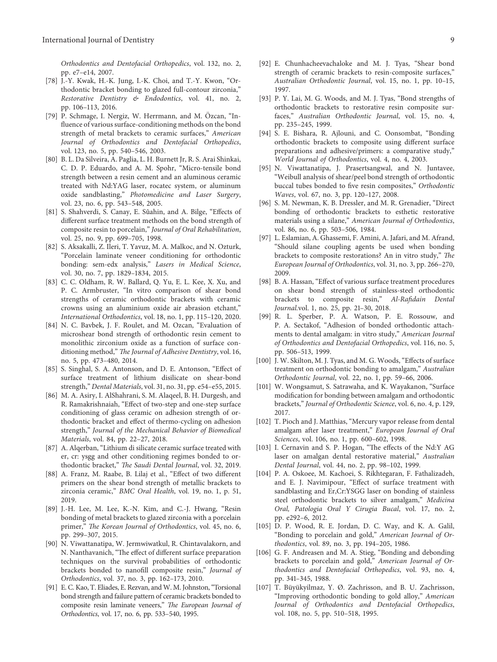<span id="page-8-0"></span>Orthodontics and Dentofacial Orthopedics, vol. 132, no. 2, pp. e7–e14, 2007.

- [78] J.-Y. Kwak, H.-K. Jung, I.-K. Choi, and T.-Y. Kwon, "Orthodontic bracket bonding to glazed full-contour zirconia," Restorative Dentistry & Endodontics, vol. 41, no. 2, pp. 106–113, 2016.
- [79] P. Schmage, I. Nergiz, W. Herrmann, and M. Ozcan, "Influence of various surface-conditioning methods on the bond strength of metal brackets to ceramic surfaces," American Journal of Orthodontics and Dentofacial Orthopedics, vol. 123, no. 5, pp. 540–546, 2003.
- [80] B. L. Da Silveira, A. Paglia, L. H. Burnett Jr, R. S. Arai Shinkai, C. D. P. Eduardo, and A. M. Spohr, "Micro-tensile bond strength between a resin cement and an aluminous ceramic treated with Nd:YAG laser, rocatec system, or aluminum oxide sandblasting," Photomedicine and Laser Surgery, vol. 23, no. 6, pp. 543–548, 2005.
- [81] S. Shahverdi, S. Canay, E. Sûahin, and A. Bilge, "Effects of different surface treatment methods on the bond strength of composite resin to porcelain," Journal of Oral Rehabilitation, vol. 25, no. 9, pp. 699–705, 1998.
- [82] S. Aksakalli, Z. Ileri, T. Yavuz, M. A. Malkoc, and N. Ozturk, "Porcelain laminate veneer conditioning for orthodontic bonding: sem-edx analysis," Lasers in Medical Science, vol. 30, no. 7, pp. 1829–1834, 2015.
- [83] C. C. Oldham, R. W. Ballard, Q. Yu, E. L. Kee, X. Xu, and P. C. Armbruster, "In vitro comparison of shear bond strengths of ceramic orthodontic brackets with ceramic crowns using an aluminium oxide air abrasion etchant," International Orthodontics, vol. 18, no. 1, pp. 115–120, 2020.
- [84] N. C. Bavbek, J. F. Roulet, and M. Ozcan, "Evaluation of microshear bond strength of orthodontic resin cement to monolithic zirconium oxide as a function of surface conditioning method," The Journal of Adhesive Dentistry, vol. 16, no. 5, pp. 473–480, 2014.
- [85] S. Singhal, S. A. Antonson, and D. E. Antonson, "Effect of surface treatment of lithium disilicate on shear-bond strength," Dental Materials, vol. 31, no. 31, pp. e54–e55, 2015.
- [86] M. A. Asiry, I. AlShahrani, S. M. Alaqeel, B. H. Durgesh, and R. Ramakrishnaiah, "Effect of two-step and one-step surface conditioning of glass ceramic on adhesion strength of orthodontic bracket and effect of thermo-cycling on adhesion strength," Journal of the Mechanical Behavior of Biomedical Materials, vol. 84, pp. 22–27, 2018.
- [87] A. Alqerban, "Lithium di silicate ceramic surface treated with er, cr: ysgg and other conditioning regimes bonded to orthodontic bracket," The Saudi Dental Journal, vol. 32, 2019.
- [88] A. Franz, M. Raabe, B. Lilaj et al., "Effect of two different primers on the shear bond strength of metallic brackets to zirconia ceramic," BMC Oral Health, vol. 19, no. 1, p. 51, 2019.
- [89] J.-H. Lee, M. Lee, K.-N. Kim, and C.-J. Hwang, "Resin bonding of metal brackets to glazed zirconia with a porcelain primer," The Korean Journal of Orthodontics, vol. 45, no. 6, pp. 299–307, 2015.
- [90] N. Viwattanatipa, W. Jermwiwatkul, R. Chintavalakorn, and N. Nanthavanich, "The effect of different surface preparation techniques on the survival probabilities of orthodontic brackets bonded to nanofill composite resin," Journal of Orthodontics, vol. 37, no. 3, pp. 162–173, 2010.
- [91] E. C. Kao, T. Eliades, E. Rezvan, and W. M. Johnston, "Torsional bond strength and failure pattern of ceramic brackets bonded to composite resin laminate veneers," The European Journal of Orthodontics, vol. 17, no. 6, pp. 533–540, 1995.
- [92] E. Chunhacheevachaloke and M. J. Tyas, "Shear bond strength of ceramic brackets to resin-composite surfaces," Australian Orthodontic Journal, vol. 15, no. 1, pp. 10–15, 1997.
- [93] P. Y. Lai, M. G. Woods, and M. J. Tyas, "Bond strengths of orthodontic brackets to restorative resin composite surfaces," Australian Orthodontic Journal, vol. 15, no. 4, pp. 235–245, 1999.
- [94] S. E. Bishara, R. Ajlouni, and C. Oonsombat, "Bonding orthodontic brackets to composite using different surface preparations and adhesive/primers: a comparative study," World Journal of Orthodontics, vol. 4, no. 4, 2003.
- [95] N. Viwattanatipa, J. Prasertsangwal, and N. Juntavee, "Weibull analysis of shear/peel bond strength of orthodontic buccal tubes bonded to five resin composites," Orthodontic Waves, vol. 67, no. 3, pp. 120–127, 2008.
- [96] S. M. Newman, K. B. Dressler, and M. R. Grenadier, "Direct bonding of orthodontic brackets to esthetic restorative materials using a silane," American Journal of Orthodontics, vol. 86, no. 6, pp. 503–506, 1984.
- [97] L. Eslamian, A. Ghassemi, F. Amini, A. Jafari, and M. Afrand, "Should silane coupling agents be used when bonding brackets to composite restorations? An in vitro study," The European Journal of Orthodontics, vol. 31, no. 3, pp. 266–270, 2009.
- [98] B. A. Hassan, "Effect of various surface treatment procedures on shear bond strength of stainless-steel orthodontic brackets to composite resin," Al-Rafidain Dental Journal.vol. 1, no. 25, pp. 21–30, 2018.
- [99] R. L. Sperber, P. A. Watson, P. E. Rossouw, and P. A. Sectakof, "Adhesion of bonded orthodontic attachments to dental amalgam: in vitro study," American Journal of Orthodontics and Dentofacial Orthopedics, vol. 116, no. 5, pp. 506–513, 1999.
- [100] J. W. Skilton, M. J. Tyas, and M. G. Woods, "Effects of surface treatment on orthodontic bonding to amalgam," Australian Orthodontic Journal, vol. 22, no. 1, pp. 59–66, 2006.
- [101] W. Wongsamut, S. Satrawaha, and K. Wayakanon, "Surface modification for bonding between amalgam and orthodontic brackets," Journal of Orthodontic Science, vol. 6, no. 4, p. 129, 2017.
- [102] T. Pioch and J. Matthias, "Mercury vapor release from dental amalgam after laser treatment," European Journal of Oral Sciences, vol. 106, no. 1, pp. 600–602, 1998.
- [103] I. Cernavin and S. P. Hogan, "The effects of the Nd:Y AG laser on amalgan dental restorative material," Australian Dental Journal, vol. 44, no. 2, pp. 98–102, 1999.
- [104] P. A. Oskoee, M. Kachoei, S. Rikhtegaran, F. Fathalizadeh, and E. J. Navimipour, "Effect of surface treatment with sandblasting and Er,Cr:YSGG laser on bonding of stainless steel orthodontic brackets to silver amalgam," Medicina Oral, Patologia Oral Y Cirugia Bucal, vol. 17, no. 2, pp. e292–6, 2012.
- [105] D. P. Wood, R. E. Jordan, D. C. Way, and K. A. Galil, "Bonding to porcelain and gold," American Journal of Orthodontics, vol. 89, no. 3, pp. 194–205, 1986.
- [106] G. F. Andreasen and M. A. Stieg, "Bonding and debonding brackets to porcelain and gold," American Journal of Orthodontics and Dentofacial Orthopedics, vol. 93, no. 4, pp. 341–345, 1988.
- [107] T. Büyükyilmaz, Y. Ø. Zachrisson, and B. U. Zachrisson, "Improving orthodontic bonding to gold alloy," American Journal of Orthodontics and Dentofacial Orthopedics, vol. 108, no. 5, pp. 510–518, 1995.